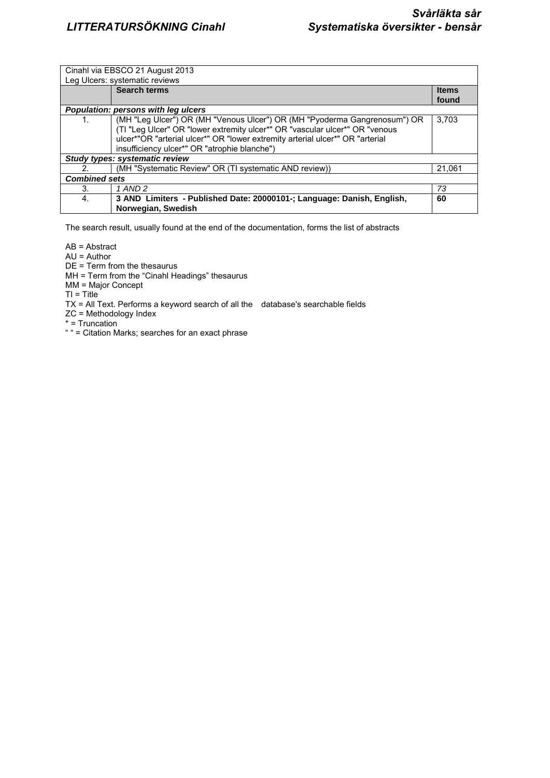| Cinahl via EBSCO 21 August 2013<br>Leg Ulcers: systematic reviews |                                                                                                                                                                                                                                                                                           |                       |  |  |
|-------------------------------------------------------------------|-------------------------------------------------------------------------------------------------------------------------------------------------------------------------------------------------------------------------------------------------------------------------------------------|-----------------------|--|--|
|                                                                   | <b>Search terms</b>                                                                                                                                                                                                                                                                       | <b>Items</b><br>found |  |  |
| Population: persons with leg ulcers                               |                                                                                                                                                                                                                                                                                           |                       |  |  |
| 1.                                                                | (MH "Leg Ulcer") OR (MH "Venous Ulcer") OR (MH "Pyoderma Gangrenosum") OR<br>(TI "Leg Ulcer" OR "lower extremity ulcer*" OR "vascular ulcer*" OR "venous<br>ulcer*"OR "arterial ulcer*" OR "lower extremity arterial ulcer*" OR "arterial<br>insufficiency ulcer*" OR "atrophie blanche") | 3.703                 |  |  |
| Study types: systematic review                                    |                                                                                                                                                                                                                                                                                           |                       |  |  |
|                                                                   | (MH "Systematic Review" OR (TI systematic AND review))                                                                                                                                                                                                                                    | 21.061                |  |  |
| <b>Combined sets</b>                                              |                                                                                                                                                                                                                                                                                           |                       |  |  |
| 3.                                                                | 1 AND 2                                                                                                                                                                                                                                                                                   | 73                    |  |  |
| 4.                                                                | 3 AND Limiters - Published Date: 20000101-: Language: Danish, English,<br>Norwegian, Swedish                                                                                                                                                                                              | 60                    |  |  |

The search result, usually found at the end of the documentation, forms the list of abstracts

AB = Abstract

AU = Author

DE = Term from the thesaurus

MH = Term from the "Cinahl Headings" thesaurus

MM = Major Concept

TI = Title

TX = All Text. Performs a keyword search of all the database's searchable fields

ZC = Methodology Index

\* = Truncation

" " = Citation Marks; searches for an exact phrase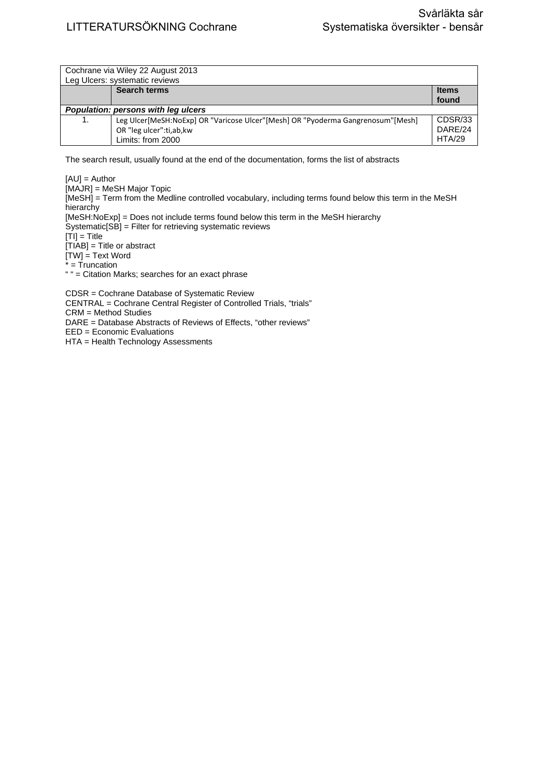| Cochrane via Wiley 22 August 2013          |                                                                                 |              |  |  |
|--------------------------------------------|---------------------------------------------------------------------------------|--------------|--|--|
| Leg Ulcers: systematic reviews             |                                                                                 |              |  |  |
|                                            | <b>Search terms</b>                                                             | <b>Items</b> |  |  |
|                                            |                                                                                 | found        |  |  |
| <b>Population: persons with leg ulcers</b> |                                                                                 |              |  |  |
| 1.                                         | Leg Ulcer[MeSH:NoExp] OR "Varicose Ulcer"[Mesh] OR "Pyoderma Gangrenosum"[Mesh] | CDSR/33      |  |  |
|                                            | OR "leg ulcer":ti,ab,kw                                                         | DARE/24      |  |  |
|                                            | Limits: from 2000                                                               | HTA/29       |  |  |

The search result, usually found at the end of the documentation, forms the list of abstracts

[AU] = Author

[MAJR] = MeSH Major Topic

[MeSH] = Term from the Medline controlled vocabulary, including terms found below this term in the MeSH **hierarchy** 

[MeSH:NoExp] = Does not include terms found below this term in the MeSH hierarchy Systematic[SB] = Filter for retrieving systematic reviews

 $|T1| = T$ itle

[TIAB] = Title or abstract

[TW] = Text Word

\* = Truncation

" " = Citation Marks; searches for an exact phrase

CDSR = Cochrane Database of Systematic Review CENTRAL = Cochrane Central Register of Controlled Trials, "trials" CRM = Method Studies DARE = Database Abstracts of Reviews of Effects, "other reviews" EED = Economic Evaluations

HTA = Health Technology Assessments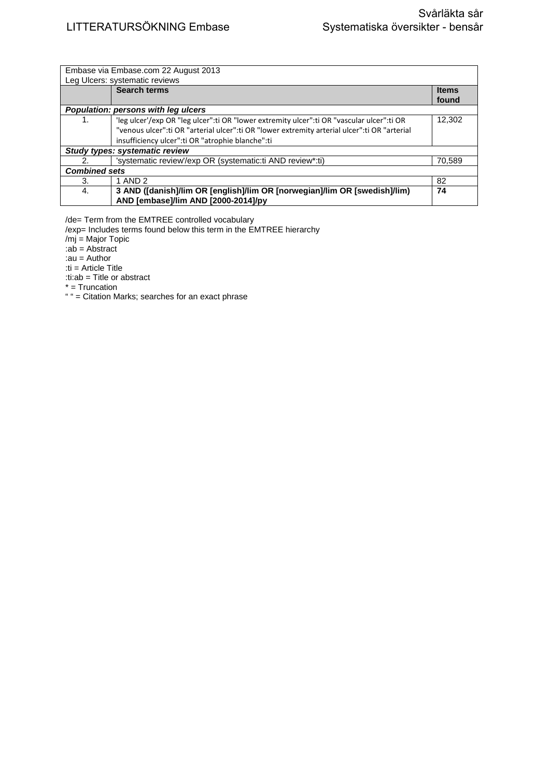| Embase via Embase.com 22 August 2013       |                                                                                                                  |                       |  |  |
|--------------------------------------------|------------------------------------------------------------------------------------------------------------------|-----------------------|--|--|
| Leg Ulcers: systematic reviews             |                                                                                                                  |                       |  |  |
|                                            | <b>Search terms</b>                                                                                              | <b>Items</b><br>found |  |  |
| <b>Population: persons with leg ulcers</b> |                                                                                                                  |                       |  |  |
| 1.                                         | 'leg ulcer'/exp OR "leg ulcer":ti OR "lower extremity ulcer":ti OR "vascular ulcer":ti OR                        | 12,302                |  |  |
|                                            | "venous ulcer":ti OR "arterial ulcer":ti OR "lower extremity arterial ulcer":ti OR "arterial                     |                       |  |  |
|                                            | insufficiency ulcer": ti OR "atrophie blanche": ti                                                               |                       |  |  |
| Study types: systematic review             |                                                                                                                  |                       |  |  |
| 2.                                         | 'systematic review'/exp OR (systematic:ti AND review*:ti)                                                        | 70.589                |  |  |
| <b>Combined sets</b>                       |                                                                                                                  |                       |  |  |
| 3.                                         | 1 AND 2                                                                                                          | 82                    |  |  |
| 4.                                         | 3 AND ([danish]/lim OR [english]/lim OR [norwegian]/lim OR [swedish]/lim)<br>AND [embase]/lim AND [2000-2014]/py | 74                    |  |  |
|                                            |                                                                                                                  |                       |  |  |

/de= Term from the EMTREE controlled vocabulary

/exp= Includes terms found below this term in the EMTREE hierarchy

/mj = Major Topic

:ab = Abstract

:au = Author

:ti = Article Title

:ti:ab = Title or abstract

\* = Truncation

" " = Citation Marks; searches for an exact phrase